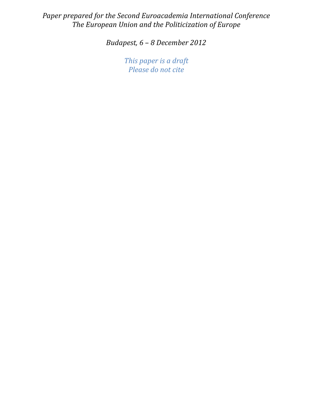Paper prepared for the Second Euroacademia International Conference The European Union and the Politicization of Europe

Budapest, 6 – 8 December 2012

This paper is a draft Please do not cite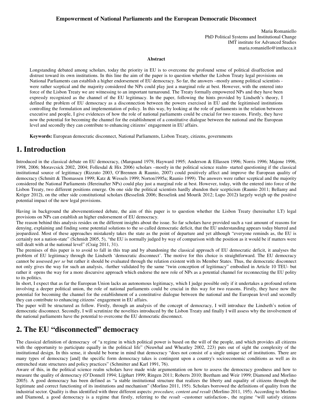#### **Empowerment of National Parliaments and the European Democratic Disconnect**

Maria Romaniello PhD Political Systems and Institutional Change IMT institute for Advanced Studies maria.romaniello@imtlucca.it

#### **Abstract**

Longstanding debated among scholars, today the priority in EU is to overcome the profound sense of political disaffection and distrust toward its own institutions. In this line the aim of the paper is to question whether the Lisbon Treaty legal provisions on National Parliaments can establish a higher endorsement of EU democracy. So far, the answers –mostly among political scientists were rather sceptical and the majority considered the NPs could play just a marginal role at best. However, with the entered into force of the Lisbon Treaty we are witnessing to an important turnaround. The Treaty formally empowered NPs and they have been expressly recognized as the channel of the EU legitimacy. In the paper, following the hints provided by Lindseth's theory, I defined the problem of EU democracy as a disconnection between the powers exercised in EU and the legitimised institutions controlling the formulation and implementation of policy. In this way, by looking at the role of parliaments in the relation between executive and people, I give evidences of how the role of national parliaments could be crucial for two reasons. Firstly, they have now the potential for becoming the channel for the establishment of a constitutive dialogue between the national and the European level and secondly they can contribute to enhancing citizens' engagement in EU affairs.

**Keywords:** European democratic disconnect, National Parliaments, Lisbon Treaty, citizens, governments

## **1. Introduction**

Introduced in the classical debate on EU democracy, (Marquand 1979, Hayward 1995; Anderson & Ellassen 1996; Norris 1996; Majone 1996, 1998, 2006; Moravcsick 2002, 2004; Follesdal & Hix 2006) scholars –mostly in the political science realm- started questioning if the classical institutional source of legitimacy (Rizzuto 2003, O'Brennen & Raunio, 2007) could positively affect and improve the European quality of democracy (Schmitt & Thomassen 1999; Katz & Wessels 1999; Norton1995a; Raunio 1999). The answers were rather sceptical and the majority considered the National Parliaments (Hereinafter NPs) could play just a marginal role at best. However, today, with the entered into force of the Lisbon Treaty, two different positions emerge. On one side the political scientists hardly abandon their scepticism (Raunio 2011; Bellamy and Kröger 2012**)**, on the other side constitutional scholars **(**Besselink 2006; Besselink and Mourik 2012; Lupo 2012**)** largely weigh up the positive potential impact of the new legal provisions.

Having in background the abovementioned debate, the aim of this paper is to question whether the Lisbon Treaty (hereinafter LT) legal provisions on NPs can establish an higher endorsement of EU democracy.

The reason behind this analysis resides on the different insights about the issue. So far scholars have provided such a vast amount of reasons for denying, explaining and finding some potential solutions to the so called democratic deficit, that the EU understanding appears today blurred and jeopardized. Most of these approaches mistakenly takes the state as the point of departure and yet although "everyone reminds as, the EU is certainly not a nation-state" (Schmidt 2005, 5), "the EU is normally judged by way of comparison with the position as it would be if matters were still dealt with at the national level" (Craig 2011, 31).

The premises of this paper is to avoid to fall in this trap and by abandoning the classical approach of EU democratic deficit, it analyses the problem of EU legitimacy through the Lindseth 'democratic disconnect'. The motive for this choice is straightforward. The EU democracy cannot be assessed *per se* but rather it should be evaluated through the relation existent with its Member States. Thus, the democratic disconnect not only gives the way for such an analysis, -further validated by the same "twin conception of legitimacy" embodied in Article 10 TEU- but rather it opens the way for a more discursive approach which endorse the new role of NPs as a potential channel for reconnecting the EU polity to its politics.

In short, I expect that as far the European Union lacks an autonomous legitimacy, which I judge possible only if it undertakes a profound reform involving a deeper political union, the role of national parliaments could be crucial in this way for two reasons. Firstly, they have now the potential for becoming the channel for the establishment of a constitutive dialogue between the national and the European level and secondly they can contribute to enhancing citizens' engagement in EU affairs.

The paper will be structured as follow. Firstly, through an analysis of the concept of democracy, I will introduce the Lindseth's notion of democratic disconnect. Secondly, I will scrutinize the novelties introduced by the Lisbon Treaty and finally I will assess why the involvement of the national parliaments have the potential to overcome the EU democratic disconnect.

## **2. The EU "disconnected" democracy**

The classical definition of democracy of "a regime in which political power is based on the will of the people, and which provides all citizens with the opportunity to participate equally in the political life" (Neuwhal and Wheatley 2002, 223) puts out of sight the complexity of the institutional design. In this sense, it should be borne in mind that democracy "does not consist of a single unique set of institutions. There are many types of democracy [and] the specific form democracy takes is contingent upon a country's socioeconomic conditions as well as its entrenched state structures and policy practices" (Schmitter and Karl 1991, 76).

Aware of this, in the political science realm scholars have made wide argumentation on how to assess the democracy goodness and how to measure the quality of democracy (O'Donnell 1994; Lijphart 1999; Ringen 2011; Roberts 2010; Beetham and Weir 1999; Diamond and Morlino 2005). A good democracy has been defined as "a stable institutional structure that realizes the liberty and equality of citizens through the legitimate and correct functioning of its institutions and mechanism" (Morlino 2011, 195). Scholars borrowed the definitions of quality from the industrial sector. Quality is thus identified with three different aspects: *procedure, content and result* (Morlino 2011, 195). According to Morlino and Diamond, a good democracy is a regime that firstly, referring to the *result* –customer satisfaction-, the regime "will satisfy citizens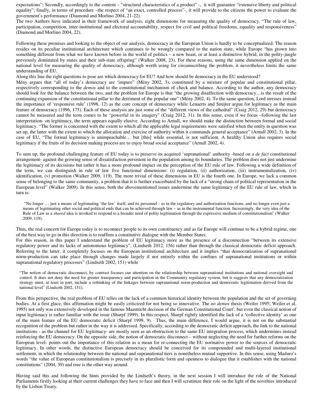expectations"; Secondly, accordingly to the content – "structural characteristics of a product" -, it will guarantee "extensive liberty and political equality"; finally, in terms of procedure –the respect of "an exact, controlled process"-, it will provide to the citizens the power to evaluate the government's performance (Diamond and Morlino 2004, 21-22).

The two Authors have indicated in their framework of analysis, eight dimensions for measuring the quality of democracy. "The rule of law, participation, competition, inter-institutional and electoral accountability, respect for civil and political freedoms, equality and responsiveness" (Diamond and Morlino 2004, 22).

Following these premises and looking to the object of our analysis, democracy in the European Union is hardly to be conceptualized. The reason resides on its peculiar institutional architecture which continues to be wrongly compared to the nation state, while Europe "has grown into something different from what we have known before in the world of politics – a new beast, or at least a distinctive hybrid, in the polity-jungle previously dominated by states and their sub-state offspring" (Walker 2008, 23). For these reasons, using the same dimension applied on the national level for measuring the quality of democracy, although worth using for circumscribing the problem, it nevertheless limits the same understanding of EU.

Along this line the right questions to pose are which democracy for EU? And how should be democracy in the EU understood?

Mény argues that "all of today's democracy are 'impure" (Mény 2002, 3), constituted by a mixture of popular and constitutional pillar, respectively corresponding to the *demos* and to the constitutional mechanism of check and balance. According to the author, any democracy should look for the balance between the two, and the problem for Europe is that "the growing disaffection with democracy…is the result of the continuing expansion of the constitutional pillar to the detriment of the popular one" (Mény 2002, 4). To the same question, Lord stresses instead the importance of 'responsive rule' (1998, 12) as the core concept of democracy while Lenaerts and Smijter argue for legitimacy as the main feature of democracy (1996, 175). Each of these analysis are just some of the "different views of the cathedral" (Craig 2012, 29) but democracy cannot be measured and the term comes to be "powerful in its imagery" (Craig 2012, 31). In this sense, even if we focus –following the last interpretation- on legitimacy, the term appears equally elusive. According to Arnull, we should make the distinction between formal and social legitimacy. "The former is concerned with the extent to which all the applicable legal requirements were satisfied when the entity in question was set up, the latter with the extent to which the allocation and exercise of authority within it commands general acceptance" (Arnull 2002, 3). In the case of EU, "The formal legitimacy is unimpeachable… but [this] while essential, is not sufficient. A healthy Union also requires social legitimacy if the fruits of its decision making process are to enjoy broad social acceptance" (Arnull 2002, 4).

To sum up, the profound challenging feature of EU today is to preserve its acquired 'supranational' authority -based on a *de fact* constitutional arrangement- against the growing sense of dissatisfaction persistent in the population among its boundaries. The problem does not just undermine the legitimacy of its decisions but rather it has a more profound impact on the perception of the EU rule of law. Following a wide definition of the term, we can distinguish in rule of law five functional dimensions: (i) regulation, (ii) authorization, (iii) instrumentalization, (iv) identification, (v) promotion (Walker 2009, 119). The more trivial of these dimensions in EU is the fourth one. In Europe, we lack a common sense of belonging to the same community, a problem that it is further exacerbated by the lack of a "strong chain of political representation in the European level" (Walker 2009). In this sense, both the abovementioned issues undermine the same legitimacy of the EU rule of law, which in turn is:

"No longer … just a means of legitimating 'the law' itself, and its personnel - as in the regulatory and authorisation functions, and no longer even just a means of legitimating other social and political ends that can be achieved through law – as in the instrumental function. Increasingly, the very idea of the Rule of Law as a *shared* idea is invoked to respond to a broader need of polity legitimation through the expressive medium of constitutionalism" (Walker 2009, 119).

Thus, the real concern for Europe today is to reconnect people to its own constituency and as far Europe will continue to be a hybrid regime, one of the best way to go in this direction is to reaffirm a constitutive dialogue with the Member States.

For this reason, in this paper I understand the problem of EU legitimacy more as the presence of a disconnection "between its extensive regulatory power and its lacks of autonomous legitimacy", (Lindseth 2012, 156) rather than through the classical democratic deficit approach. Referring to the latter, it completely focuses on the European institutional architecture and it implies "that democratization of supranational norm-production can take place through changes made largely if not entirely within the confines of supranational institutions or within supranational regulatory processes" (Lindseth 2002, 151) while

"The notion of democratic disconnect, by contrast focuses our attention on the relationship between supranational institutions and national oversight and control. It does not deny the need for greater transparency and participation in the Community regulatory system, but it suggests that any democratization strategy must, at least in part, include a rethinking of the linkages between supranational norm-production and democratic legitimation derived from the national level" (Lindseth 2002, 151).

From this perspective, the real problem of EU relies on the lack of a common historical identity between the population and the set of governing bodies. At a first glace, this affirmation might be easily criticized for not being so innovative. The *no demos* thesis (Weiler 1995; Weiler et al. 1995) not only was extensively developed in the famous Maastricht decision of the German Constitutional Court<sup>i</sup>, but even the classical notion of input legitimacy is rather familiar with the issue (Sharpf 1999). In this respect, Sharpf rightly identified the lack of a 'collective identity' as one of the main feature of the EU democratic deficit (Sharpf 1999, 9). Thus, the main difference, I would argue, it is not on the substantial recognition of the problem but rather in the way it is addressed. Specifically, according to the democratic deficit approach, the link to the national institutions - as the channel for EU legitimacy- are mostly seen as an obstruction to the same EU integration process, which undermines instead reinforcing the EU democracy. On the opposite side, the notion of democratic disconnect – without neglecting the need for further reforms on the European level- points out the importance of this relation as a mean for re-connecting the EU normative power to the sources of democratic legitimacy. In other words, the distinctive European democracy should be conceived for its compounded and multi-layered institutional settlement, in which the relationship between the national and supranational tiers is nonetheless mutual supportive. In this sense, using Maduro's words "the value of European constitutionalism is precisely in its pluralistic form and openness to dialogue that it establishes with the national constitutions" (2004, 39) and true is the other way around.

Having said this and following the hints provided by the Lindseth's theory, in the next session I will introduce the role of the National Parliaments firstly looking at their current challenges they have to face and then I will scrutinize their role on the light of the novelties introduced by the Lisbon Treaty.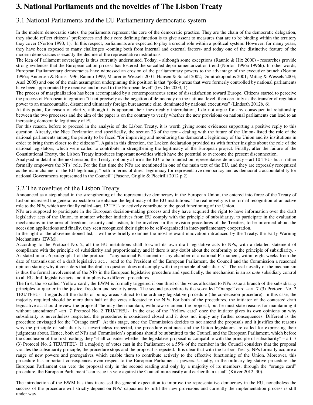# **3. National Parliaments and the novelties of The Lisbon Treaty**

### 3.1 National Parliaments and the EU Parliamentary democratic system

In the modern democratic states, the parliaments represent the core of the democratic practice. They are the chain of the democratic delegation, they should reflect citizens' preferences and their core defining function is to give assent to measures that are to be binding within the territory they cover (Norton 1990, 1). In this respect, parliaments are expected to play a crucial role within a political system. However, for many years, they have been exposed to many challenges -coming both from internal and external factors- and today one of the distinctive feature of the modern democracies is exactly the decline of the representative institutions.

The idea of Parliament sovereignty is thus currently undermined. Today, - although some exceptions (Raunio & Hix 2000) - researches provide strong evidences that the Europeanization process has fostered the so-called deparliamentarization trend (Norton 1996a 1996b). In other words, European Parliamentary democracies have witnessed an erosion of the parliamentary powers to the advantage of the executive branch (Norton 1996a; Andersen & Burns 1996; Raunio 1999; Maurer & Wessels 2001; Hansen & Scholl 2002; Dimitrakopoulos 2001; Mittag & Wessels 2003; Auel 2005) and one of the main assumption underpinning this position is that "policy areas that were formerly controlled by national parliaments have been appropriated by executive and moved to the European level" (Ivy Orr 2003, 1).

The process of marginalization has been accompanied by a contemporaneous sense of dissatisfaction toward Europe. Citizens started to perceive the process of European integration "if not precisely as the negation of democracy on the national level, then certainly as the transfer of regulator power to an unaccountable, distant and ultimately foreign bureaucratic elite, dominated by national executives" (Lindseth 2012b, 6).

At this point, for reason of clarity, although it is apparent their inextricably interrelation, I do not argue for any consequential relationship between the two processes and the aim of the paper is on the contrary to verify whether the new provisions on national parliaments can lead to an increasing democratic legitimacy of EU.

For this reason, before to proceed in the analysis of the Lisbon Treaty, it is worth giving some evidences supporting a positive reply to this question. Already, the Nice Declaration and specifically, the section 23 of the text - dealing with the future of the Union- listed the role of the national parliaments among the priority to be faced "for improving and monitoring the democratic legitimacy of the Union and its institutions in order to bring them closer to the citizens"ii. Again in this direction, the Laeken declaration provided us with further insights about the role of the national legislators, which were called to contribute in strengthening the legitimacy of the European project. Finally, after the failure of the Constitutional Treaty, the Lisbon Treaty introduces important novelties which have the potential to overcome the present disconnection.

Analysed in detail in the next session, the Treaty, not only affirms the EU to be founded on representative democracy – art 10 TEU- but it rather formally empowers the NPs' role. For the first time the NPs are mentioned in one of the main text of the EU, and they are expressly recognized as the main channel of the EU legitimacy, "both in terms of direct legitimacy for representative democracy and as democratic accountability for national Governments represented in the Council" (Fasone, Griglio & Piccirilli 2012 p.2).

### 3.2 The novelties of the Lisbon Treaty

Announced as a step ahead in the strengthening of the representative democracy in the European Union, the entered into force of the Treaty of Lisbon increased the general expectation to enhance the legitimacy of the EU institutions. The real novelty is the formal recognition of an active role to the NPs, which are finally called –art. 12 TEU- to actively contribute to the good functioning of the Union.

NPs are supposed to participate in the European decision-making process and they have acquired the right to have information over the draft legislative acts of the Union, to monitor whether initiatives from EU comply with the principle of subsidiarity, to participate in the evaluation mechanisms in the area of freedom, security and justice, to be involved in the revision procedures of the Treaties, to be informed about the accession applications and finally, they seen recognized their right to be self-organized in inter-parliamentary cooperation.

In the light of the abovementioned list, I will now briefly examine the most relevant innovation introduced by the Treaty: the Early Warning Mechanisms (EWM).

According to the Protocol No. 2, all the EU institutions shall forward its own draft legislative acts to NPs, with a detailed statement of compliance with the principle of subsidiarity and proportionality and if there is any doubt about the conformity to the principle of subsidiarity. - As stated in art. 6 paragraph 1 of the protocol - "any national Parliament or any chamber of a national Parliament, within eight weeks from the date of transmission of a draft legislative act… send to the President of the European Parliament, the Council and the Commission a reasoned opinion stating why it considers that the draft in question does not comply with the principle of subsidiarity". The real novelty of the mechanism is thus the formal involvement of the NPs in the European legislative procedure and specifically, the mechanism is an *ex ante* subsidiary control to all EU draft legislative acts and it implies two different procedures.

The first, the so called 'Yellow card', the EWM is formally triggered if one third of the votes allocated to NPs issue a branch of the subsidiarity principles -a quarter in the justice, freedom and security area-. The second procedure is the so-called "Orange" card –art. 7 (3) Protocol No. 2 TEU/TFEU-. It regards all the drafts of policy areas subject to the ordinary legislative procedure (the co-decision procedure). In this case, the majority required should be more than half of the votes allocated to the NPs. For both of the procedures, the initiator of the contested draft legislative act should review the proposal "he may then maintain, withdraw or amend the proposal, but he must state reasons for maintaining it without amendment" –art. 7 Protocol No. 2 TEU/TFEU- In the case of the 'Yellow card' once the initiator gives its own opinions on why subsidiarity is nevertheless respected, the procedures is considered closed and it does not imply any further consequences. Different is the procedure envisaged for the "Orange card". At this stage, once the Commission decides to not amend the proposals and it justifies the reasons why the principle of subsidiarity is nevertheless respected, the procedure continues and the Union legislators are called for expressing their judgments about. Hence, both of NPs and Commission's opinions should be submitted to the Council and the European Parliament, which before the conclusion of the first reading, they "shall consider whether the legislative proposal is compatible with the principle of subsidiarity" – art. 7 (3) Protocol No. 2 TEU/TFEU-. If a majority of votes cast in the Parliament or a 55% of the member in the Council considers that the proposal violates the subsidiarity principle, the procedure stops and the proposal is rejected. It is clear that with the Lisbon Treaty, NPs formally acquire a range of new powers and prerogatives which enable them to contribute actively to the effective functioning of the Union. Moreover, this procedure has important consequences even respect to the European Parliament's powers. Usually, in the ordinary legislative procedure, the European Parliament can veto the proposal only in the second reading and only by a majority of its members, through the "orange card" procedure, the European Parliament "can issue its veto against the Council more easily and earlier than usual" (Kiiver 2012, 30).

The introduction of the EWM has thus increased the general expectation to improve the representative democracy in the EU, nonetheless the success of the procedure will strictly depend on NPs' capacities to fulfil the new provisions and currently the implementation process is still under way.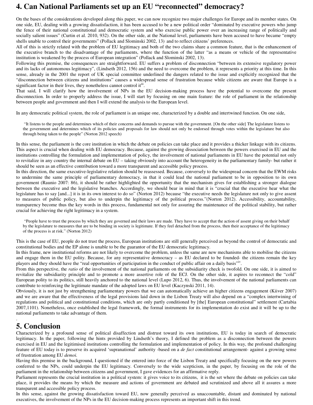# **4. Can National Parliaments set up an EU "reconnected" democracy?**

On the bases of the considerations developed along this paper, we can now recognize two major challenges for Europe and its member states. On one side, EU, dealing with a growing dissatisfaction, it has been accused to be a new political order "dominated by executive powers who jump the fence of their national constitutional and democratic system and who exercise public power over an increasing range of politically and socially salient issues" (Curtin et al. 2010, 932). On the other side, at the National level, parliaments have been accused to have became "empty shells unable to control their governments" (Pollack and Slominski 2002, 13) and to reflect citizens' preferences.

All of this is strictly related with the problem of EU legitimacy and both of the two claims share a common feature, that is the enhancement of the executive branch to the disadvantage of the parliaments, where the function of the latter "as a means or vehicle of the representative institution is weakened by the process of European integration" (Pollack and Slominski 2002, 13).

Following this premise, the consequences are straightforward. EU suffers a problem of disconnection "between its extensive regulatory power and its lacks of autonomous legitimacy", (Lindseth 2012, 156) and the need to overcome the problem, it represents a priority at this time. In this sense, already in the 2001 the report of UK special committee underlined the dangers related to the issue and explicitly recognized that the "disconnection between citizens and institutions" causes a widespread sense of frustration because while citizens are aware that Europe is a significant factor in their lives, they nonetheless cannot control it.<sup>iii</sup>.

That said, I will clarify how the involvement of NPs in the EU decision-making process have the potential to overcome the present disconnection. In order to properly address the issue, I will start by focusing on one main feature: the role of parliament in the relationship between people and government and then I will extend the analysis to the European level.

In any democratic political system, the role of parliament is an unique one, characterized by a double and intertwined function. On one side,

 "It listens to the people and determines which of their concerns and demands to pursue with the government. [On the other side] The legislature listens to the government and determines which of its policies and proposals for law should not only be endorsed through votes within the legislature but also through being taken to the people" (Norton 2012 speech)

In this sense, the parliament is the core institution in which the debate on policies can take place and it provides a thicker linkage with its citizens. This aspect is crucial when dealing with EU democracy. Because, against the growing dissociation between the powers exercised in EU and the institutions controlling the formulation and implementation of policy, the involvement of national parliaments in EU have the potential not only to revitalize in any country the internal debate on EU – taking obviously into account the heterogeneity in the parliamentary family- but rather it should be seen as an effective contribution toward a more transparent and accessible policy process.

In this direction, the same executive-legislative relation should be reassessed. Because, conversely to the widespread concern that the EWM risks to undermine the same principle of parliamentary democracy, in that it could lead the national parliament to be in opposition to its own government (Raunio 2007: 86), it should be rather highlighted the opportunity that the mechanism gives for establishing a stronger dialogue between the executive and the legislative branches. Accordingly, we should bear in mind that it is "crucial that the executive hear what the legislature has to say [and...] it is in its own interest to do so" (Norton 2012) because "the executive needs the legislature not only to give assent to measures of public policy, but also to underpin the legitimacy of the political process."(Norton 2012). Accessibility, accountability, transparency become thus the key words in this process, fundamental not only for assuring the maintenance of the political stability, but rather crucial for achieving the right legitimacy in a system.

"People have to trust the process by which they are governed and their laws are made. They have to accept that the action of assent giving on their behalf by the legislature to measures that are to be binding in society is legitimate. If they feel detached from the process, then their acceptance of the legitimacy of the process is at risk." (Norton 2012)

This is the case of EU, people do not trust the process, European institutions are still generally perceived as beyond the control of democratic and constitutional bodies and the EP alone is unable to be the guarantor of the EU democratic legitimacy.

In this frame, new institutional reforms are not likely to overcome the problem, unless the same are new mechanisms able to mobilise the citizens and engage them in the EU polity. Because, for any representative democracy – as EU declared to be founded- the citizens remain the key players and they should have the "real opportunities of participation in the conduct of public affair on a daily basis".

From this perspective, the *ratio* of the involvement of the national parliaments on the subsidiarity check is twofold. On one side, it is aimed to revitalize the subsidiarity principle and to promote a more assertive role of the ECJ. On the other side, it aspires to reconnect the "cold" European polity to its politics, still heavily anchored to the national level (Lupo 2012, 6). Thus, the involvement of the national parliaments can contribute to reinforcing the legitimate mandate of the adopted laws on EU level (Kaczynski 2011, 14).

Obviously, it is not just by strengthening parliamentary powers that we can automatically achieve an higher citizens engagement (Kiiver 2007) and we are aware that the effectiveness of the legal provisions laid down in the Lisbon Treaty will also depend on a "complex intertwining of regulations and political and constitutional conditions, which are only partly conditioned by [the] European constitutional" settlement (Cartabia 2007,1101). Nonetheless, once established the legal framework, the formal instruments for its implementation do exist and it will be up to the national parliaments to take advantage of them.

### . **5. Conclusion**

Characterized by a profound sense of political disaffection and distrust toward its own institutions, EU is today in search of democratic legitimacy. In the paper, following the hints provided by Lindseth's theory, I defined the problem as a disconnection between the powers exercised in EU and the legitimised institutions controlling the formulation and implementation of policy. In this way, the profound challenging feature of EU today is to preserve its acquired 'supranational' authority -based on a *de fact* constitutional arrangement- against a growing sense of frustration among EU *demoi.*

Having this premise in the background, I questioned if the entered into force of the Lisbon Treaty and specifically focusing on the new powers conferred to the NPs, could underpin the EU legitimacy. Conversely to the wide scepticism, in the paper, by focusing on the role of the parliament in the relationship between citizens and government, I gave evidences for an affirmative reply.

Parliament represents the crucial institution in a political system: it gives voice to its citizens, it is the set where the debate on policies can take place, it provides the means by which the measure and actions of government are debated and scrutinized and above all it assures a more transparent and accessible policy process.

In this sense, against the growing dissatisfaction toward EU, now generally perceived as unaccountable, distant and dominated by national executives, the involvement of the NPs in the EU decision-making process represents an important shift in this trend.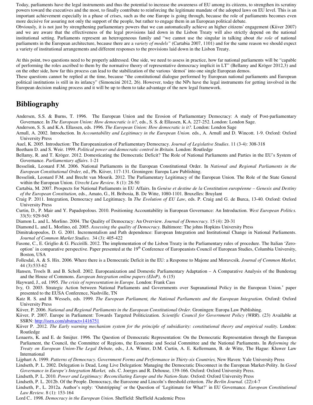Today, parliaments have the legal instruments and thus the potential to increase the awareness of EU among its citizens, to strengthen its scrutiny powers toward the executives and the most, to finally contribute to reinforcing the legitimate mandate of the adopted laws on EU level. This is an important achievement especially in a phase of crises, such as the one Europe is going through, because the role of parliaments becomes even more decisive for assuring not only the support of the people, but rather to engage them in an European political debate.

Obviously, it is not just by strengthening parliamentary powers that we can automatically achieve an higher citizens' engagement (Kiiver 2007) and we are aware that the effectiveness of the legal provisions laid down in the Lisbon Treaty will also strictly depend on the national institutional setting. Parliaments represent an heterogeneous family and "we cannot use the singular in talking about *the role* of national parliaments in the European architecture, because there are a *variety of models"* (Cartabia 2007, 1101) and for the same reason we should expect a variety of institutional arrangements and different responses to the provisions laid down in the Lisbon Treaty.

At this point, two questions need to be properly addressed. One side, we need to assess in practice, how far national parliaments will be "capable of performing the roles ascribed to them by the normative theory of representative democracy implicit in LT" (Bellamy and Kröger 2012,3) and on the other side, how far this process can lead to the stabilization of the various 'demoi' into one single European demos.

These questions cannot be replied at the time, because "the constitutional dialogue performed by European national parliaments and European political institutions is still in its infancy" (Simoncini 2012, 26). However, today the NPs have the legal instruments for getting involved in the European decision making process and it will be up to them to take advantage of the new legal framework.

### **Bibliography**

- Andersen, S.S. & Burns, T. 1996. The European Union and the Erosion of Parliamentary Democracy: A study of Post-parliamentary Governance. In *The European Union: How democratic is it?*, eds., S. S. & Ellassen, K.A. 227-252. London: London Sage.
- Anderson, S. S. and K.A. Ellassen, eds. 1996. *The European Union: How democratic is it?.* London: London Sage
- Arnull, A. 2002. Introduction. In *Accountability and Legitimacy in the European Union.* eds., A. Arnull and D. Wincott. 1-9. Oxford: Oxford University Press
- Auel, K. 2005. Introduction: The Europeanization of Parliamentary Democracy. *Journal of Legislative Studies*. 11 (3-4): 308-318
- Beetham D. and S. Weir. 1999. *Political power and democratic control in Britain.* London: Routledge
- Bellamy, R. and T. Kröger. 2012. Domesticating the Democratic Deficit? The Role of National Parliaments and Parties in the EU's System of Governance. *Parliamentary affairs*. 1-21
- Besselink, Leonard F.M. 2006. National Parliaments in the European Constitutional Order. In *National and Regional Parliaments in the European Constitutional Order,* ed., Ph. Kiiver, 117-131. Groningen: Europa Law Publishing.
- Besselink, Leonard F.M. and Brecht van Mourik. 2012. The Parliamentary Legitimacy of the European Union. The Role of the State General within the European Union. *Utrecht Law Review.* 8 (1): 28-50
- Cartabia, M. 2007. Prospects for National Parliaments in EU Affairs. In *Genèse et destine de la Constitution européenne Genesis and Destiny of the European Constitution,* eds., Amato, G., H. Bribosia, B. De Witte, 1080-1101. Bruxelles: Bruylant
- Craig P. 2011. Integration, Democracy and Legitimacy. In *The Evolution of EU Law*, eds. P. Craig and G. de Burca, 13-40. Oxford: Oxford University Press
- Curtin, D., P. Mair and Y. Papadopolous. 2010. Positioning Accountability in European Governance: An Introduction. *West European Politics.* 33(5): 929-945
- Diamon L. and L. Morlino. 2004. The Quality of Democracy: An Overview. *Journal of Democracy.* 15 (4): 20-31
- Diamond L. and L. Morlino, ed. 2005. *Assessing the quality of Democracy.* Baltimore: The johns Hopkins University Press
- Dimitrakopoulos, D. G. 2001. Incrementalism and Path dependence: European Integration and Institutional Change in National Parliaments. *Journal of Common Market Studies.* 34 (3): 405-422
- Fasone, C., E. Griglio & G. Piccirilli. 2012. The implementation of the Lisbon Treaty in the Parliamentary rules of procedure. The Italian 'Zerooption' in comparative perspective. Paper presented at the 19<sup>th</sup> Conference of Europeanists Council of European Studies, Columbia University, Boston, USA
- Follesdal, A. & S. Hix. 2006. Where there is a Democratic Deficit in the EU: a Response to Majone and Moravcsik. *Journal of Common Market,*  44 (3):533-62
- Hansen, Troels B. and B. Scholl. 2002. Europeanization and Domestic Parliamentary Adaptation A Comparative Analysis of the Bundestag and the House of Commons. *European Integration online papers (EIoP),* 6 (15)
- Hayward, J., ed. 1995. *The crisis of representation in Europe.* London: Frank Cass
- Ivy, O. 2003. Strategic Action between National Parliaments and Governments over Supranational Policy in the European Union.<sup>v</sup> paper presented to the EUSA Conference, Nashville, TN
- Katz R. S. and B. Wessels, eds. 1999. *The European Parliament, the National Parliaments and the European Integration*. Oxford: Oxford University Press
- Kiiver, P. 2006. *National and Regional Parliaments in the European Constitutional Order.* Groningen: Europa Law Publishing.
- Kiiver, P. 2007. Europe in Parliament: Towards Targeted Politicization. *Scientific Council for Government Policy (WRR*). (23) Available at SSRN: http://ssrn.com/abstract=1416751
- Kiiver P. .2012. *The Early warning mechanism system for the principle of subsidiarity: constitutional theory and empirical reality.* London: Routledge
- Lenaerts, K. and E. de Smijter. 1996. The Question of Democratic Representation: On the Democratic Representation through the European Parliament, the Council, the Committee of Regions, the Economic and Social Committee and the National Parliaments. In *Reforming the Treaty on European Union-The Legal Debate,* eds.*,* J.A. Winter, D.M. Curtin, A. E. Kellermann, B. de Witte, The Hague: Kluwer Law International
- Lijphart A. 1999. *Patterns of Democracy. Government Forms and Performance in Thirty-six Countries,* New Haven: Yale University Press
- Lindseth, P. L. 2002. Delegation is Dead, Long Live Delegation: Managing the Democratic Disconnect in the European Market-Polity. In *Good Governance in Europe's Integration Market,* eds. C. Joerges and R. Dehouse, 139-166. Oxford: Oxford University Press.
- Lindseth, P. L. 2010. *Power and Legitimacy: Reconciliating Europe and the Nation-State.* Oxford: Oxford University Press
- Lindseth, P. L. 2012b. Of the People. Democracy, the Eurozone and Lincoln's threshold criterion. *The Berlin Journal.* (22):4-7
- Lindseth, P., L. 2012a. Author's reply: 'Outstripping' or the Question of 'Legitimate for What?' in EU Governance. *European Constitutional Law Review.* 8 (1): 153-164
- Lord C.. 1998. *Democracy in the European Union*. Sheffield: Sheffield Academic Press